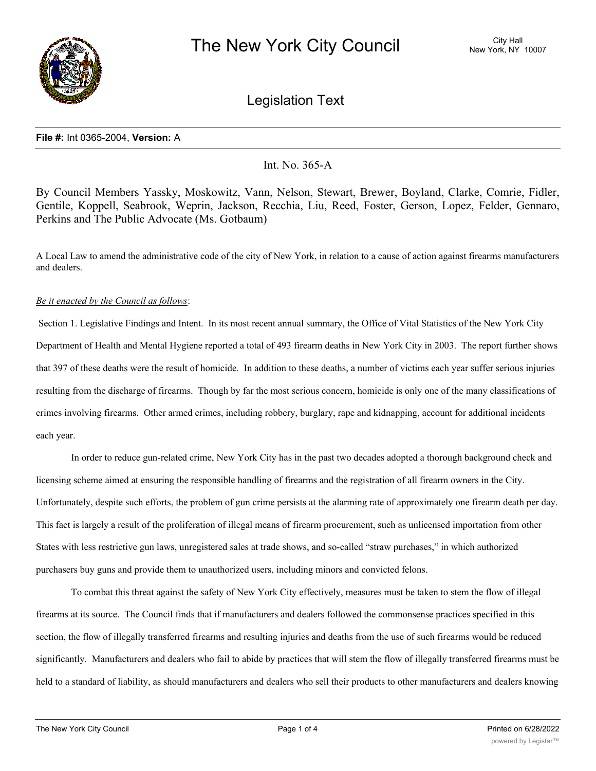

Legislation Text

### **File #:** Int 0365-2004, **Version:** A

# Int. No. 365-A

By Council Members Yassky, Moskowitz, Vann, Nelson, Stewart, Brewer, Boyland, Clarke, Comrie, Fidler, Gentile, Koppell, Seabrook, Weprin, Jackson, Recchia, Liu, Reed, Foster, Gerson, Lopez, Felder, Gennaro, Perkins and The Public Advocate (Ms. Gotbaum)

A Local Law to amend the administrative code of the city of New York, in relation to a cause of action against firearms manufacturers and dealers.

#### *Be it enacted by the Council as follows*:

 Section 1. Legislative Findings and Intent. In its most recent annual summary, the Office of Vital Statistics of the New York City Department of Health and Mental Hygiene reported a total of 493 firearm deaths in New York City in 2003. The report further shows that 397 of these deaths were the result of homicide. In addition to these deaths, a number of victims each year suffer serious injuries resulting from the discharge of firearms. Though by far the most serious concern, homicide is only one of the many classifications of crimes involving firearms. Other armed crimes, including robbery, burglary, rape and kidnapping, account for additional incidents each year.

In order to reduce gun-related crime, New York City has in the past two decades adopted a thorough background check and licensing scheme aimed at ensuring the responsible handling of firearms and the registration of all firearm owners in the City. Unfortunately, despite such efforts, the problem of gun crime persists at the alarming rate of approximately one firearm death per day. This fact is largely a result of the proliferation of illegal means of firearm procurement, such as unlicensed importation from other States with less restrictive gun laws, unregistered sales at trade shows, and so-called "straw purchases," in which authorized purchasers buy guns and provide them to unauthorized users, including minors and convicted felons.

To combat this threat against the safety of New York City effectively, measures must be taken to stem the flow of illegal firearms at its source. The Council finds that if manufacturers and dealers followed the commonsense practices specified in this section, the flow of illegally transferred firearms and resulting injuries and deaths from the use of such firearms would be reduced significantly. Manufacturers and dealers who fail to abide by practices that will stem the flow of illegally transferred firearms must be held to a standard of liability, as should manufacturers and dealers who sell their products to other manufacturers and dealers knowing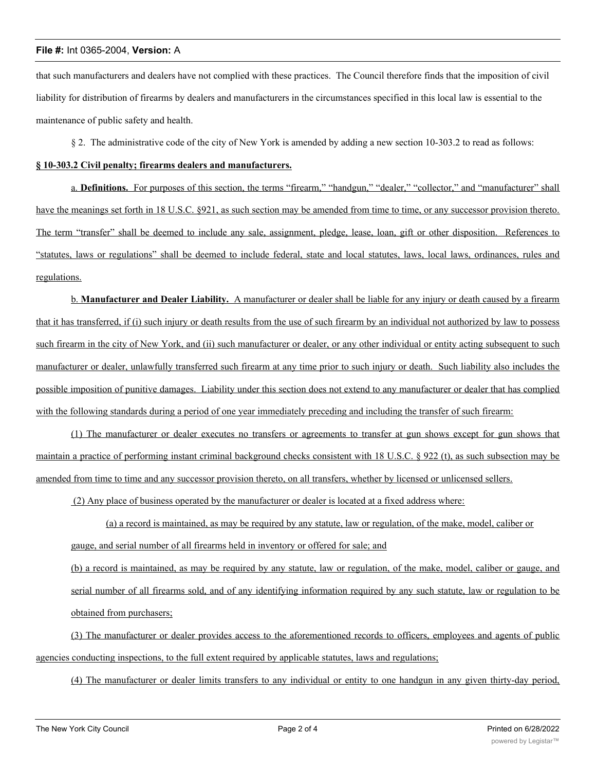### **File #:** Int 0365-2004, **Version:** A

that such manufacturers and dealers have not complied with these practices. The Council therefore finds that the imposition of civil liability for distribution of firearms by dealers and manufacturers in the circumstances specified in this local law is essential to the maintenance of public safety and health.

§ 2. The administrative code of the city of New York is amended by adding a new section 10-303.2 to read as follows:

## **§ 10-303.2 Civil penalty; firearms dealers and manufacturers.**

a. **Definitions.** For purposes of this section, the terms "firearm," "handgun," "dealer," "collector," and "manufacturer" shall have the meanings set forth in 18 U.S.C. §921, as such section may be amended from time to time, or any successor provision thereto. The term "transfer" shall be deemed to include any sale, assignment, pledge, lease, loan, gift or other disposition. References to "statutes, laws or regulations" shall be deemed to include federal, state and local statutes, laws, local laws, ordinances, rules and regulations.

b. **Manufacturer and Dealer Liability.** A manufacturer or dealer shall be liable for any injury or death caused by a firearm that it has transferred, if (i) such injury or death results from the use of such firearm by an individual not authorized by law to possess such firearm in the city of New York, and (ii) such manufacturer or dealer, or any other individual or entity acting subsequent to such manufacturer or dealer, unlawfully transferred such firearm at any time prior to such injury or death. Such liability also includes the possible imposition of punitive damages. Liability under this section does not extend to any manufacturer or dealer that has complied with the following standards during a period of one year immediately preceding and including the transfer of such firearm:

(1) The manufacturer or dealer executes no transfers or agreements to transfer at gun shows except for gun shows that maintain a practice of performing instant criminal background checks consistent with 18 U.S.C. § 922 (t), as such subsection may be amended from time to time and any successor provision thereto, on all transfers, whether by licensed or unlicensed sellers.

(2) Any place of business operated by the manufacturer or dealer is located at a fixed address where:

(a) a record is maintained, as may be required by any statute, law or regulation, of the make, model, caliber or gauge, and serial number of all firearms held in inventory or offered for sale; and

(b) a record is maintained, as may be required by any statute, law or regulation, of the make, model, caliber or gauge, and serial number of all firearms sold, and of any identifying information required by any such statute, law or regulation to be obtained from purchasers;

(3) The manufacturer or dealer provides access to the aforementioned records to officers, employees and agents of public agencies conducting inspections, to the full extent required by applicable statutes, laws and regulations;

(4) The manufacturer or dealer limits transfers to any individual or entity to one handgun in any given thirty-day period,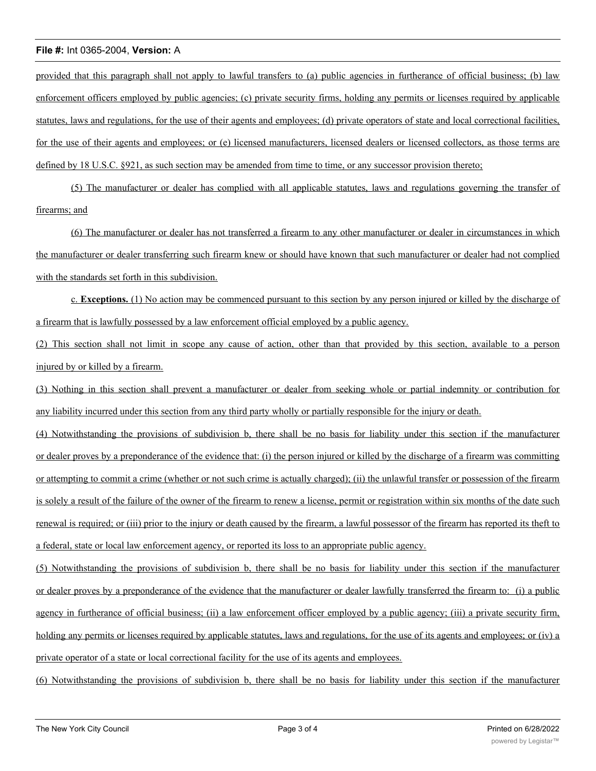#### **File #:** Int 0365-2004, **Version:** A

provided that this paragraph shall not apply to lawful transfers to (a) public agencies in furtherance of official business; (b) law enforcement officers employed by public agencies; (c) private security firms, holding any permits or licenses required by applicable statutes, laws and regulations, for the use of their agents and employees; (d) private operators of state and local correctional facilities, for the use of their agents and employees; or (e) licensed manufacturers, licensed dealers or licensed collectors, as those terms are defined by 18 U.S.C. §921, as such section may be amended from time to time, or any successor provision thereto;

(5) The manufacturer or dealer has complied with all applicable statutes, laws and regulations governing the transfer of firearms; and

(6) The manufacturer or dealer has not transferred a firearm to any other manufacturer or dealer in circumstances in which the manufacturer or dealer transferring such firearm knew or should have known that such manufacturer or dealer had not complied with the standards set forth in this subdivision.

c. **Exceptions.** (1) No action may be commenced pursuant to this section by any person injured or killed by the discharge of a firearm that is lawfully possessed by a law enforcement official employed by a public agency.

(2) This section shall not limit in scope any cause of action, other than that provided by this section, available to a person injured by or killed by a firearm.

(3) Nothing in this section shall prevent a manufacturer or dealer from seeking whole or partial indemnity or contribution for any liability incurred under this section from any third party wholly or partially responsible for the injury or death.

(4) Notwithstanding the provisions of subdivision b, there shall be no basis for liability under this section if the manufacturer or dealer proves by a preponderance of the evidence that: (i) the person injured or killed by the discharge of a firearm was committing or attempting to commit a crime (whether or not such crime is actually charged); (ii) the unlawful transfer or possession of the firearm is solely a result of the failure of the owner of the firearm to renew a license, permit or registration within six months of the date such renewal is required; or (iii) prior to the injury or death caused by the firearm, a lawful possessor of the firearm has reported its theft to a federal, state or local law enforcement agency, or reported its loss to an appropriate public agency.

(5) Notwithstanding the provisions of subdivision b, there shall be no basis for liability under this section if the manufacturer or dealer proves by a preponderance of the evidence that the manufacturer or dealer lawfully transferred the firearm to: (i) a public agency in furtherance of official business; (ii) a law enforcement officer employed by a public agency; (iii) a private security firm, holding any permits or licenses required by applicable statutes, laws and regulations, for the use of its agents and employees; or (iv) a private operator of a state or local correctional facility for the use of its agents and employees.

(6) Notwithstanding the provisions of subdivision b, there shall be no basis for liability under this section if the manufacturer